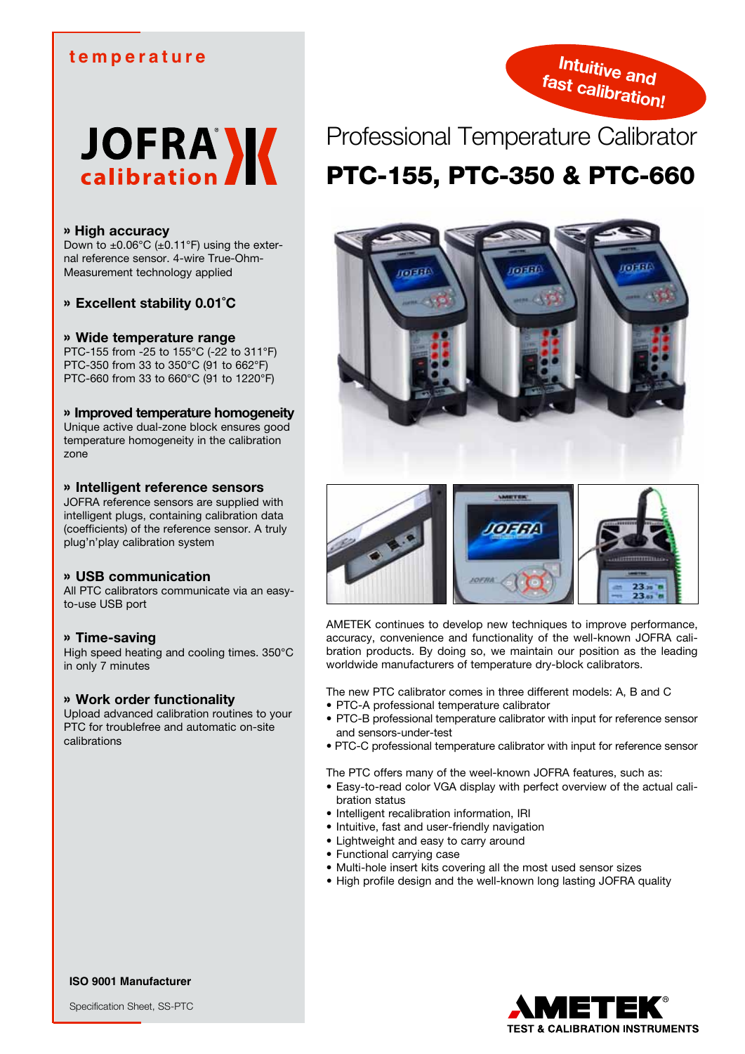# **temperature**





## » **High accuracy**

Down to  $\pm 0.06^{\circ}$ C ( $\pm 0.11^{\circ}$ F) using the external reference sensor. 4-wire True-Ohm-Measurement technology applied

» **Excellent stability 0.01˚C**

## » **Wide temperature range**

PTC-155 from -25 to 155°C (-22 to 311°F) PTC-350 from 33 to 350°C (91 to 662°F) PTC-660 from 33 to 660°C (91 to 1220°F)

## » **Improved temperature homogeneity**

Unique active dual-zone block ensures good temperature homogeneity in the calibration zone

## » **Intelligent reference sensors**

JOFRA reference sensors are supplied with intelligent plugs, containing calibration data (coefficients) of the reference sensor. A truly plug'n'play calibration system

## » **USB communication**

All PTC calibrators communicate via an easyto-use USB port

## » **Time-saving**

High speed heating and cooling times. 350°C in only 7 minutes

#### » **Work order functionality**

Upload advanced calibration routines to your PTC for troublefree and automatic on-site calibrations

# Professional Temperature Calibrator PTC-155, PTC-350 & PTC-660





AMETEK continues to develop new techniques to improve performance, accuracy, convenience and functionality of the well-known JOFRA calibration products. By doing so, we maintain our position as the leading worldwide manufacturers of temperature dry-block calibrators.

The new PTC calibrator comes in three different models: A, B and C

- • PTC-A professional temperature calibrator
- PTC-B professional temperature calibrator with input for reference sensor and sensors-under-test
- PTC-C professional temperature calibrator with input for reference sensor

The PTC offers many of the weel-known JOFRA features, such as:

- Easy-to-read color VGA display with perfect overview of the actual calibration status
- Intelligent recalibration information, IRI
- • Intuitive, fast and user-friendly navigation
- • Lightweight and easy to carry around
- • Functional carrying case
- Multi-hole insert kits covering all the most used sensor sizes
- High profile design and the well-known long lasting JOFRA quality



**ISO 9001 Manufacturer**

Specification Sheet, SS-PTC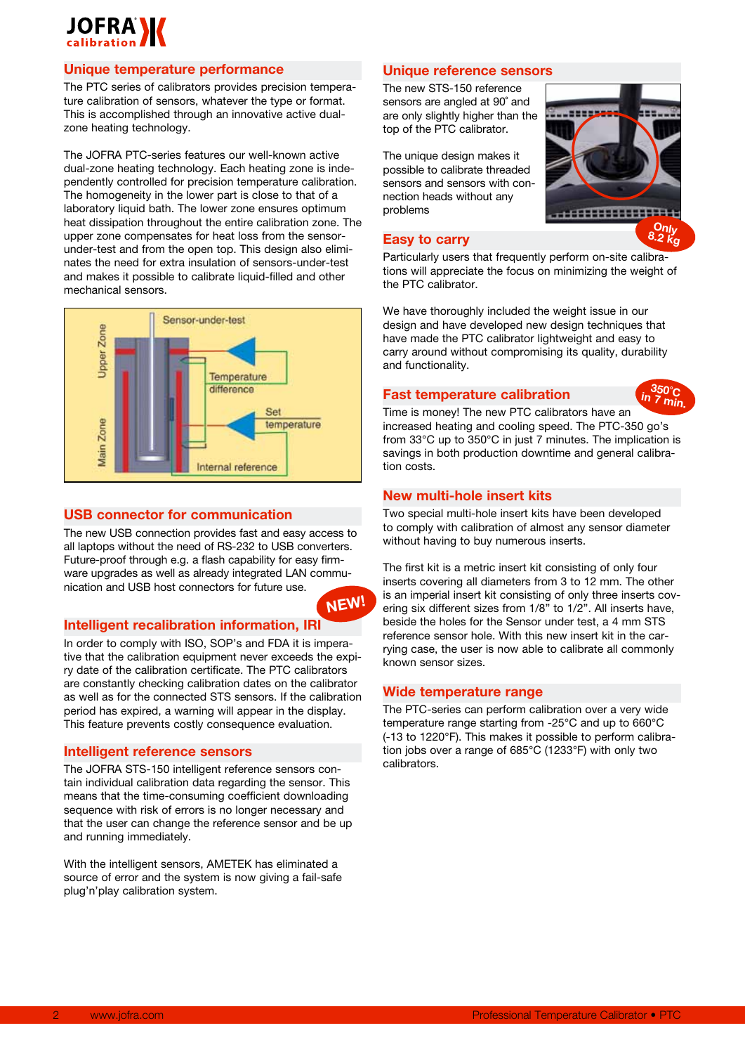

# **Unique temperature performance**

The PTC series of calibrators provides precision temperature calibration of sensors, whatever the type or format. This is accomplished through an innovative active dualzone heating technology.

The JOFRA PTC-series features our well-known active dual-zone heating technology. Each heating zone is independently controlled for precision temperature calibration. The homogeneity in the lower part is close to that of a laboratory liquid bath. The lower zone ensures optimum heat dissipation throughout the entire calibration zone. The upper zone compensates for heat loss from the sensorunder-test and from the open top. This design also eliminates the need for extra insulation of sensors-under-test and makes it possible to calibrate liquid-filled and other mechanical sensors.



#### **USB connector for communication**

The new USB connection provides fast and easy access to all laptops without the need of RS-232 to USB converters. Future-proof through e.g. a flash capability for easy firmware upgrades as well as already integrated LAN communication and USB host connectors for future use.

## **Intelligent recalibration information, IRI**

In order to comply with ISO, SOP's and FDA it is imperative that the calibration equipment never exceeds the expiry date of the calibration certificate. The PTC calibrators are constantly checking calibration dates on the calibrator as well as for the connected STS sensors. If the calibration period has expired, a warning will appear in the display. This feature prevents costly consequence evaluation.

#### **Intelligent reference sensors**

The JOFRA STS-150 intelligent reference sensors contain individual calibration data regarding the sensor. This means that the time-consuming coefficient downloading sequence with risk of errors is no longer necessary and that the user can change the reference sensor and be up and running immediately.

With the intelligent sensors, AMETEK has eliminated a source of error and the system is now giving a fail-safe plug'n'play calibration system.

## **Unique reference sensors**

The new STS-150 reference sensors are angled at 90˚ and are only slightly higher than the top of the PTC calibrator.

The unique design makes it possible to calibrate threaded sensors and sensors with connection heads without any problems

## **Easy to carry**

Particularly users that frequently perform on-site calibrations will appreciate the focus on minimizing the weight of the PTC calibrator.

----

We have thoroughly included the weight issue in our design and have developed new design techniques that have made the PTC calibrator lightweight and easy to carry around without compromising its quality, durability and functionality.

# **Fast temperature calibration**



**Only 8.2 kg**

Time is money! The new PTC calibrators have an increased heating and cooling speed. The PTC-350 go's from 33°C up to 350°C in just 7 minutes. The implication is savings in both production downtime and general calibration costs.

#### **New multi-hole insert kits**

Two special multi-hole insert kits have been developed to comply with calibration of almost any sensor diameter without having to buy numerous inserts.

The first kit is a metric insert kit consisting of only four inserts covering all diameters from 3 to 12 mm. The other is an imperial insert kit consisting of only three inserts covering six different sizes from 1/8" to 1/2". All inserts have, beside the holes for the Sensor under test, a 4 mm STS reference sensor hole. With this new insert kit in the carrying case, the user is now able to calibrate all commonly known sensor sizes.

#### **Wide temperature range**

**NEW!**

The PTC-series can perform calibration over a very wide temperature range starting from -25°C and up to 660°C (-13 to 1220°F). This makes it possible to perform calibration jobs over a range of 685°C (1233°F) with only two calibrators.

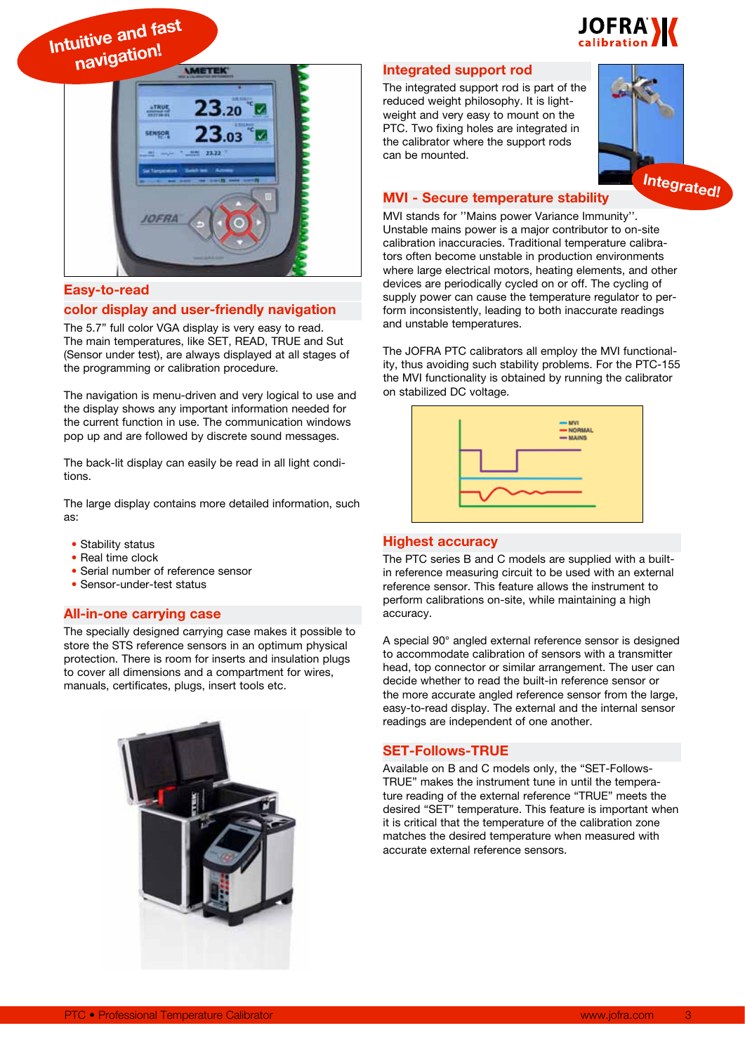

**Intuitive and fast navigation!**



## **Easy-to-read**

## **color display and user-friendly navigation**

The 5.7" full color VGA display is very easy to read. The main temperatures, like SET, READ, TRUE and Sut (Sensor under test), are always displayed at all stages of the programming or calibration procedure.

The navigation is menu-driven and very logical to use and the display shows any important information needed for the current function in use. The communication windows pop up and are followed by discrete sound messages.

The back-lit display can easily be read in all light conditions.

The large display contains more detailed information, such as:

- Stability status
- Real time clock
- Serial number of reference sensor
- Sensor-under-test status

## **All-in-one carrying case**

The specially designed carrying case makes it possible to store the STS reference sensors in an optimum physical protection. There is room for inserts and insulation plugs to cover all dimensions and a compartment for wires, manuals, certificates, plugs, insert tools etc.



#### **Integrated support rod**

The integrated support rod is part of the reduced weight philosophy. It is lightweight and very easy to mount on the PTC. Two fixing holes are integrated in the calibrator where the support rods can be mounted.



## **MVI - Secure temperature stability**

MVI stands for ''Mains power Variance Immunity''. Unstable mains power is a major contributor to on-site calibration inaccuracies. Traditional temperature calibrators often become unstable in production environments where large electrical motors, heating elements, and other devices are periodically cycled on or off. The cycling of supply power can cause the temperature regulator to perform inconsistently, leading to both inaccurate readings and unstable temperatures.

The JOFRA PTC calibrators all employ the MVI functionality, thus avoiding such stability problems. For the PTC-155 the MVI functionality is obtained by running the calibrator on stabilized DC voltage.



#### **Highest accuracy**

The PTC series B and C models are supplied with a builtin reference measuring circuit to be used with an external reference sensor. This feature allows the instrument to perform calibrations on-site, while maintaining a high accuracy.

A special 90° angled external reference sensor is designed to accommodate calibration of sensors with a transmitter head, top connector or similar arrangement. The user can decide whether to read the built-in reference sensor or the more accurate angled reference sensor from the large, easy-to-read display. The external and the internal sensor readings are independent of one another.

## **SET-Follows-TRUE**

Available on B and C models only, the "SET-Follows-TRUE" makes the instrument tune in until the temperature reading of the external reference "TRUE" meets the desired "SET" temperature. This feature is important when it is critical that the temperature of the calibration zone matches the desired temperature when measured with accurate external reference sensors.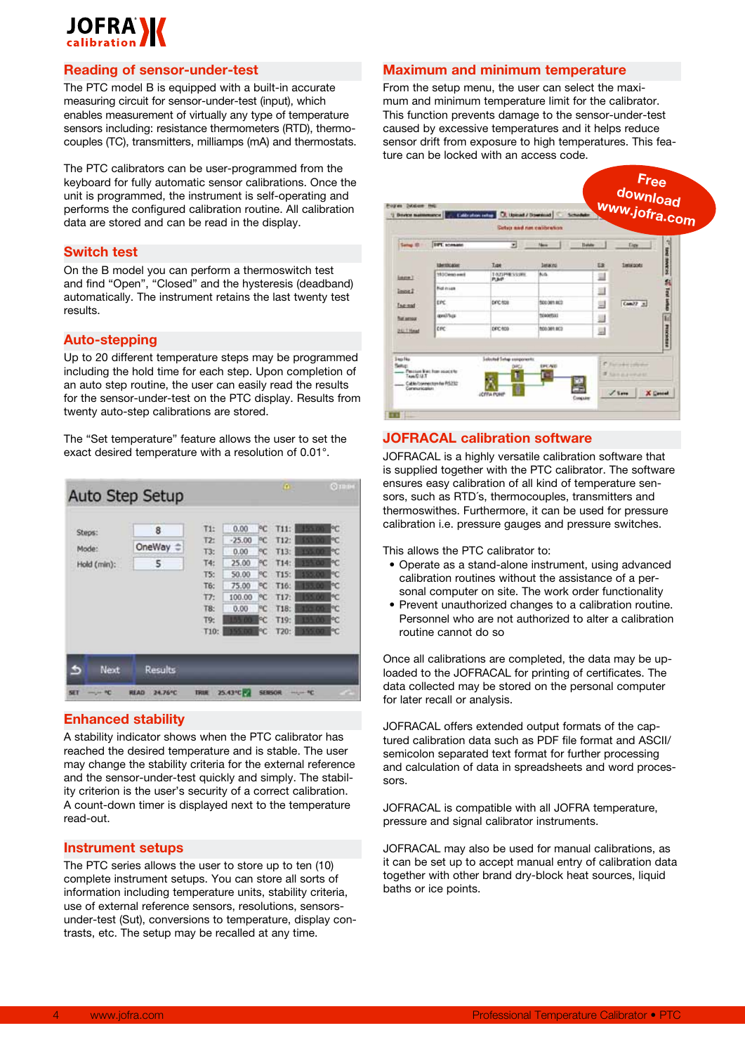# **JOFRANZ**

## **Reading of sensor-under-test**

The PTC model B is equipped with a built-in accurate measuring circuit for sensor-under-test (input), which enables measurement of virtually any type of temperature sensors including: resistance thermometers (RTD), thermocouples (TC), transmitters, milliamps (mA) and thermostats.

The PTC calibrators can be user-programmed from the keyboard for fully automatic sensor calibrations. Once the unit is programmed, the instrument is self-operating and performs the configured calibration routine. All calibration data are stored and can be read in the display.

#### **Switch test**

On the B model you can perform a thermoswitch test and find "Open", "Closed" and the hysteresis (deadband) automatically. The instrument retains the last twenty test results.

## **Auto-stepping**

Up to 20 different temperature steps may be programmed including the hold time for each step. Upon completion of an auto step routine, the user can easily read the results for the sensor-under-test on the PTC display. Results from twenty auto-step calibrations are stored.

The "Set temperature" feature allows the user to set the exact desired temperature with a resolution of 0.01°.

|                                | Auto Step Setup                   |                                                                     |                                                                       |                                                      | $\mathbf{0}$                                                         | $Q$ mm                                                   |
|--------------------------------|-----------------------------------|---------------------------------------------------------------------|-----------------------------------------------------------------------|------------------------------------------------------|----------------------------------------------------------------------|----------------------------------------------------------|
| Steps:<br>Mode:<br>Hold (min): | 8<br>OneWay<br>5                  | T1:<br>T2:<br>T3:<br>T4:<br>T5:<br>T6:<br>T7:<br>T8:<br>T9:<br>T10: | 0.00<br>$-25.00$<br>0.00<br>25.00<br>50.00<br>75.00<br>100.00<br>0.00 | PC<br>PC<br>РC<br>РC<br>PC.<br>PC.<br>РC<br>PC<br>۴C | T11:<br>T12:<br>T13:<br>T14:<br>T15:<br>T16:<br>T17:<br>T18:<br>T19: | РC<br>ФC<br>РC<br>РC<br>PC<br>РC<br>۴C<br>۴C<br>٩Ĉ<br>PC |
| Next<br>s<br>SET<br>$-10$      | Results<br>24.76°C<br><b>HEAD</b> | <b>TRUE</b>                                                         | 25.43°C PA                                                            | <b>SENSOR</b>                                        | T20:<br><b>HALLMARK</b>                                              |                                                          |

# **Enhanced stability**

A stability indicator shows when the PTC calibrator has reached the desired temperature and is stable. The user may change the stability criteria for the external reference and the sensor-under-test quickly and simply. The stability criterion is the user's security of a correct calibration. A count-down timer is displayed next to the temperature read-out.

## **Instrument setups**

The PTC series allows the user to store up to ten (10) complete instrument setups. You can store all sorts of information including temperature units, stability criteria, use of external reference sensors, resolutions, sensorsunder-test (Sut), conversions to temperature, display contrasts, etc. The setup may be recalled at any time.

## **Maximum and minimum temperature**

From the setup menu, the user can select the maximum and minimum temperature limit for the calibrator. This function prevents damage to the sensor-under-test caused by excessive temperatures and it helps reduce sensor drift from exposure to high temperatures. This feature can be locked with an access code.



# **JOFRACAL calibration software**

JOFRACAL is a highly versatile calibration software that is supplied together with the PTC calibrator. The software ensures easy calibration of all kind of temperature sensors, such as RTD´s, thermocouples, transmitters and thermoswithes. Furthermore, it can be used for pressure calibration i.e. pressure gauges and pressure switches.

This allows the PTC calibrator to:

- Operate as a stand-alone instrument, using advanced calibration routines without the assistance of a personal computer on site. The work order functionality
- Prevent unauthorized changes to a calibration routine. Personnel who are not authorized to alter a calibration routine cannot do so

Once all calibrations are completed, the data may be uploaded to the JOFRACAL for printing of certificates. The data collected may be stored on the personal computer for later recall or analysis.

JOFRACAL offers extended output formats of the captured calibration data such as PDF file format and ASCII/ semicolon separated text format for further processing and calculation of data in spreadsheets and word processors.

JOFRACAL is compatible with all JOFRA temperature, pressure and signal calibrator instruments.

JOFRACAL may also be used for manual calibrations, as it can be set up to accept manual entry of calibration data together with other brand dry-block heat sources, liquid baths or ice points.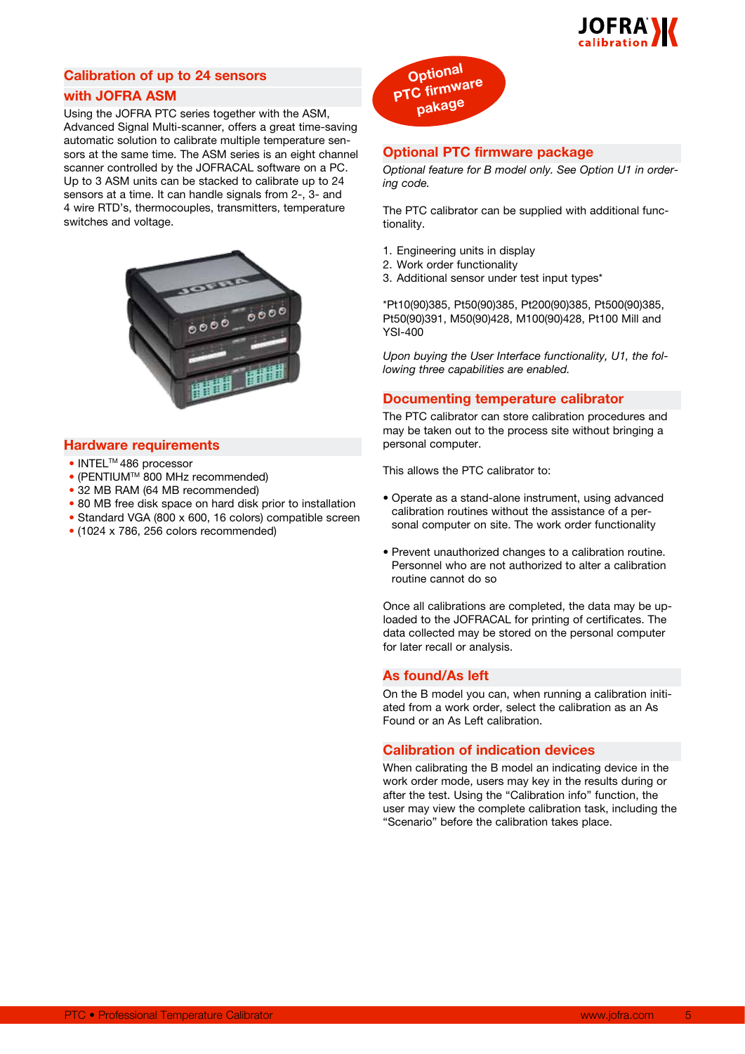

# **Calibration of up to 24 sensors with JOFRA ASM**

Using the JOFRA PTC series together with the ASM, Advanced Signal Multi-scanner, offers a great time-saving automatic solution to calibrate multiple temperature sensors at the same time. The ASM series is an eight channel scanner controlled by the JOFRACAL software on a PC. Up to 3 ASM units can be stacked to calibrate up to 24 sensors at a time. It can handle signals from 2-, 3- and 4 wire RTD's, thermocouples, transmitters, temperature switches and voltage.



#### **Hardware requirements**

- INTELTM 486 processor
- $\bullet$  (PENTIUM<sup>TM</sup> 800 MHz recommended)
- 32 MB RAM (64 MB recommended)
- 80 MB free disk space on hard disk prior to installation
- Standard VGA (800 x 600, 16 colors) compatible screen
- (1024 x 786, 256 colors recommended)



## **Optional PTC firmware package**

*Optional feature for B model only. See Option U1 in ordering code.*

The PTC calibrator can be supplied with additional functionality.

- 1. Engineering units in display
- 2. Work order functionality
- 3. Additional sensor under test input types\*

\*Pt10(90)385, Pt50(90)385, Pt200(90)385, Pt500(90)385, Pt50(90)391, M50(90)428, M100(90)428, Pt100 Mill and YSI-400

*Upon buying the User Interface functionality, U1, the following three capabilities are enabled.*

#### **Documenting temperature calibrator**

The PTC calibrator can store calibration procedures and may be taken out to the process site without bringing a personal computer.

This allows the PTC calibrator to:

- • Operate as a stand-alone instrument, using advanced calibration routines without the assistance of a personal computer on site. The work order functionality
- • Prevent unauthorized changes to a calibration routine. Personnel who are not authorized to alter a calibration routine cannot do so

Once all calibrations are completed, the data may be uploaded to the JOFRACAL for printing of certificates. The data collected may be stored on the personal computer for later recall or analysis.

#### **As found/As left**

On the B model you can, when running a calibration initiated from a work order, select the calibration as an As Found or an As Left calibration.

## **Calibration of indication devices**

When calibrating the B model an indicating device in the work order mode, users may key in the results during or after the test. Using the "Calibration info" function, the user may view the complete calibration task, including the "Scenario" before the calibration takes place.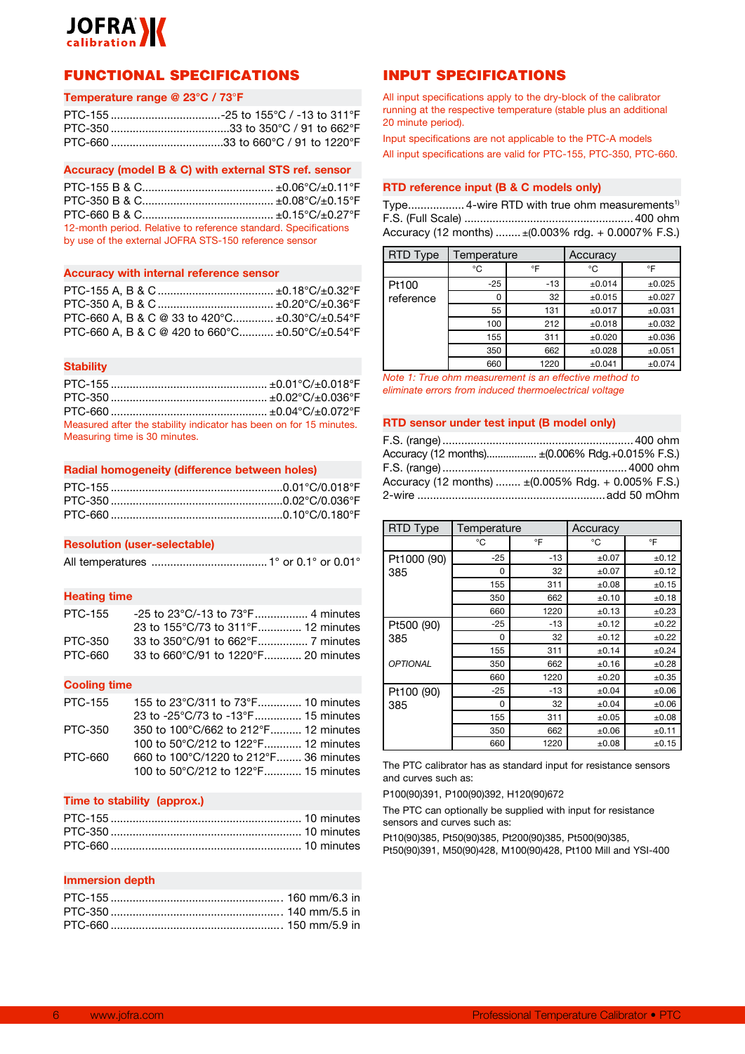

# FUNCTIONAL SPECIFICATIONS

#### **Temperature range @ 23°C / 73**°**F**

## **Accuracy (model B & C) with external STS ref. sensor**

PTC-155 B & C.......................................... ±0.06°C/±0.11°F PTC-350 B & C.......................................... ±0.08°C/±0.15°F PTC-660 B & C.......................................... ±0.15°C/±0.27°F 12-month period. Relative to reference standard. Specifications by use of the external JOFRA STS-150 reference sensor

#### **Accuracy with internal reference sensor**

| PTC-660 A, B & C @ 33 to 420 °C $\pm 0.30$ °C/ $\pm 0.54$ °F |  |
|--------------------------------------------------------------|--|
| PTC-660 A, B & C @ 420 to 660°C ±0.50°C/±0.54°F              |  |

#### **Stability**

| Measured after the stability indicator has been on for 15 minutes. |  |
|--------------------------------------------------------------------|--|
| Measuring time is 30 minutes.                                      |  |

## **Radial homogeneity (difference between holes)**

#### **Resolution (user-selectable)**

All temperatures .....................................1° or 0.1° or 0.01°

#### **Heating time**

| PTC-155 | -25 to 23°C/-13 to 73°F 4 minutes   |  |
|---------|-------------------------------------|--|
|         | 23 to 155°C/73 to 311°F 12 minutes  |  |
| PTC-350 |                                     |  |
| PTC-660 | 33 to 660°C/91 to 1220°F 20 minutes |  |

#### **Cooling time**

| PTC-155        | 155 to 23°C/311 to 73°F 10 minutes    |  |
|----------------|---------------------------------------|--|
|                | 23 to -25°C/73 to -13°F 15 minutes    |  |
| PTC-350        | 350 to 100°C/662 to 212°F 12 minutes  |  |
|                | 100 to 50°C/212 to 122°F 12 minutes   |  |
| <b>PTC-660</b> | 660 to 100°C/1220 to 212°F 36 minutes |  |
|                | 100 to 50°C/212 to 122°F 15 minutes   |  |
|                |                                       |  |

#### **Time to stability (approx.)**

#### **Immersion depth**

# INPUT SPECIFICATIONS

All input specifications apply to the dry-block of the calibrator running at the respective temperature (stable plus an additional 20 minute period).

Input specifications are not applicable to the PTC-A models All input specifications are valid for PTC-155, PTC-350, PTC-660.

#### **RTD reference input (B & C models only)**

Type.................. 4-wire RTD with true ohm measurements1) F.S. (Full Scale) ......................................................400 ohm Accuracy (12 months) ........ ±(0.003% rdg. + 0.0007% F.S.)

| <b>RTD Type</b> | Temperature  |       | Accuracy    |        |
|-----------------|--------------|-------|-------------|--------|
|                 | °C           | °F    | °C          | °F     |
| Pt100           | $-25$        | $-13$ | $\pm 0.014$ | ±0.025 |
| reference       | <sup>0</sup> | 32    | ±0.015      | ±0.027 |
|                 | 55           | 131   | ±0.017      | ±0.031 |
|                 | 100          | 212   | ±0.018      | ±0.032 |
|                 | 155          | 311   | $\pm 0.020$ | ±0.036 |
|                 | 350          | 662   | $\pm 0.028$ | ±0.051 |
|                 | 660          | 1220  | ±0.041      | ±0.074 |

*Note 1: True ohm measurement is an effective method to eliminate errors from induced thermoelectrical voltage*

#### **RTD sensor under test input (B model only)**

| Accuracy (12 months) ± (0.006% Rdg.+0.015% F.S.)                         |
|--------------------------------------------------------------------------|
|                                                                          |
| Accuracy (12 months) $\pm (0.005\% \text{ Rdg.} + 0.005\% \text{ F.S.})$ |
|                                                                          |

| RTD Type        | Temperature |       | Accuracy   |            |
|-----------------|-------------|-------|------------|------------|
|                 | °C          | °F    | °C         | °F         |
| Pt1000 (90)     | $-25$       | $-13$ | ±0.07      | ±0.12      |
| 385             | 0           | 32    | ±0.07      | ±0.12      |
|                 | 155         | 311   | ±0.08      | ±0.15      |
|                 | 350         | 662   | ±0.10      | ±0.18      |
|                 | 660         | 1220  | ±0.13      | ±0.23      |
| Pt500 (90)      | $-25$       | $-13$ | ±0.12      | ±0.22      |
| 385             | 0           | 32    | ±0.12      | ±0.22      |
|                 | 155         | 311   | ±0.14      | ±0.24      |
| <b>OPTIONAL</b> | 350         | 662   | ±0.16      | ±0.28      |
|                 | 660         | 1220  | ±0.20      | $\pm 0.35$ |
| Pt100 (90)      | $-25$       | $-13$ | ±0.04      | ±0.06      |
| 385             | $\Omega$    | 32    | ±0.04      | ±0.06      |
|                 | 155         | 311   | ±0.05      | ±0.08      |
|                 | 350         | 662   | $\pm 0.06$ | ±0.11      |
|                 | 660         | 1220  | ±0.08      | ±0.15      |

The PTC calibrator has as standard input for resistance sensors and curves such as:

P100(90)391, P100(90)392, H120(90)672

The PTC can optionally be supplied with input for resistance sensors and curves such as:

Pt10(90)385, Pt50(90)385, Pt200(90)385, Pt500(90)385, Pt50(90)391, M50(90)428, M100(90)428, Pt100 Mill and YSI-400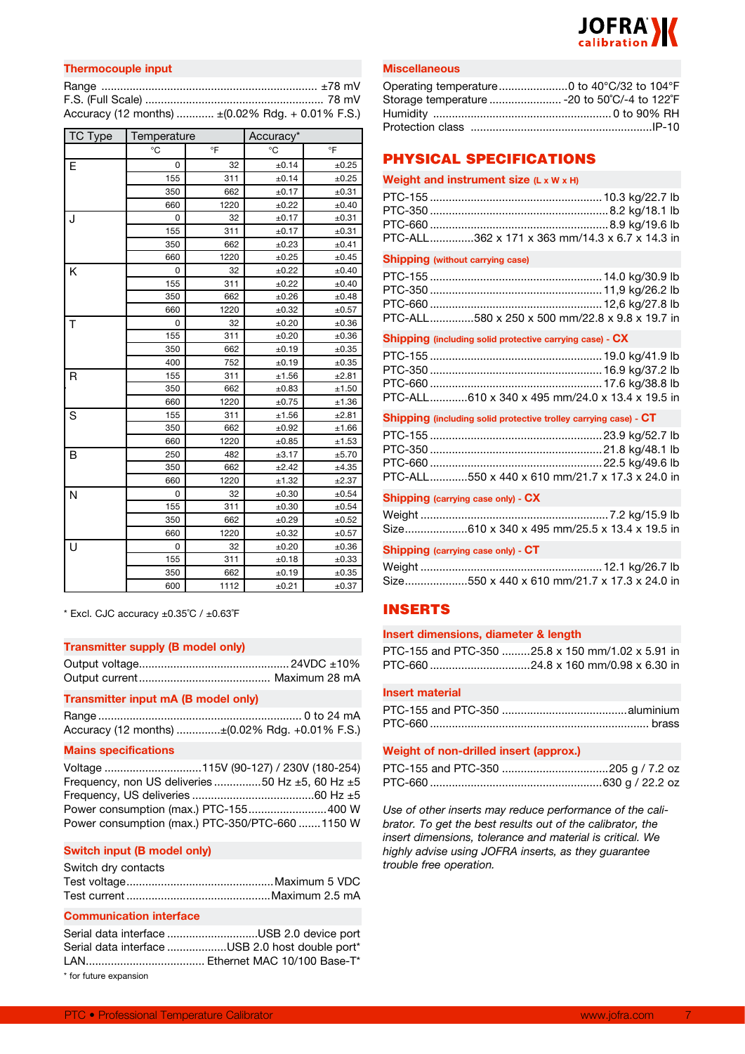

| <b>Thermocouple input</b>                         |  |
|---------------------------------------------------|--|
|                                                   |  |
|                                                   |  |
| Accuracy (12 months)  ± (0.02% Rdg. + 0.01% F.S.) |  |

| TC Type | Temperature |      | Accuracy* |       |
|---------|-------------|------|-----------|-------|
|         | °C          | °F   | °C        | °F    |
| Е       | 0           | 32   | ±0.14     | ±0.25 |
|         | 155         | 311  | ±0.14     | ±0.25 |
|         | 350         | 662  | ±0.17     | ±0.31 |
|         | 660         | 1220 | ±0.22     | ±0.40 |
| J       | 0           | 32   | ±0.17     | ±0.31 |
|         | 155         | 311  | ±0.17     | ±0.31 |
|         | 350         | 662  | ±0.23     | ±0.41 |
|         | 660         | 1220 | ±0.25     | ±0.45 |
| K       | 0           | 32   | ±0.22     | ±0.40 |
|         | 155         | 311  | ±0.22     | ±0.40 |
|         | 350         | 662  | ±0.26     | ±0.48 |
|         | 660         | 1220 | ±0.32     | ±0.57 |
| T       | 0           | 32   | ±0.20     | ±0.36 |
|         | 155         | 311  | ±0.20     | ±0.36 |
|         | 350         | 662  | ±0.19     | ±0.35 |
|         | 400         | 752  | ±0.19     | ±0.35 |
| R       | 155         | 311  | ±1.56     | ±2.81 |
|         | 350         | 662  | ±0.83     | ±1.50 |
|         | 660         | 1220 | ±0.75     | ±1.36 |
| S       | 155         | 311  | ±1.56     | ±2.81 |
|         | 350         | 662  | ±0.92     | ±1.66 |
|         | 660         | 1220 | ±0.85     | ±1.53 |
| B       | 250         | 482  | ±3.17     | ±5.70 |
|         | 350         | 662  | ±2.42     | ±4.35 |
|         | 660         | 1220 | ±1.32     | ±2.37 |
| N       | 0           | 32   | ±0.30     | ±0.54 |
|         | 155         | 311  | ±0.30     | ±0.54 |
|         | 350         | 662  | ±0.29     | ±0.52 |
|         | 660         | 1220 | ±0.32     | ±0.57 |
| U       | 0           | 32   | ±0.20     | ±0.36 |
|         | 155         | 311  | ±0.18     | ±0.33 |
|         | 350         | 662  | ±0.19     | ±0.35 |
|         | 600         | 1112 | ±0.21     | ±0.37 |

 $*$  Excl. CJC accuracy  $\pm 0.35^{\circ}$ C /  $\pm 0.63^{\circ}$ F

#### **Transmitter supply (B model only)**

#### **Transmitter input mA (B model only)**

| Accuracy (12 months) ± (0.02% Rdg. +0.01% F.S.) |
|-------------------------------------------------|

#### **Mains specifications**

Voltage ...............................115V (90-127) / 230V (180-254) Frequency, non US deliveries ...............50 Hz ±5, 60 Hz ±5 Frequency, US deliveries .......................................60 Hz ±5 Power consumption (max.) PTC-155.........................400 W Power consumption (max.) PTC-350/PTC-660 .......1150 W

#### **Switch input (B model only)**

| Switch dry contacts |  |
|---------------------|--|
|                     |  |
|                     |  |

#### **Communication interface**

Serial data interface .............................USB 2.0 device port Serial data interface ...................USB 2.0 host double port\* LAN...................................... Ethernet MAC 10/100 Base-T\* \* for future expansion

#### **Miscellaneous**

| Storage temperature  - 20 to 50°C/-4 to 122°F |  |
|-----------------------------------------------|--|
|                                               |  |
|                                               |  |

# PHYSICAL SPECIFICATIONS

| Weight and instrument size (L x W x H) |  |
|----------------------------------------|--|
|----------------------------------------|--|

| PTC-ALL362 x 171 x 363 mm/14.3 x 6.7 x 14.3 in |  |
|------------------------------------------------|--|

## **Shipping (without carrying case)**

| PTC-ALL580 x 250 x 500 mm/22.8 x 9.8 x 19.7 in |
|------------------------------------------------|

#### **Shipping (including solid protective carrying case) - CX**

| PTC-ALL610 x 340 x 495 mm/24.0 x 13.4 x 19.5 in |
|-------------------------------------------------|

#### **Shipping (including solid protective trolley carrying case) - CT**

| PTC-ALL550 x 440 x 610 mm/21.7 x 17.3 x 24.0 in |
|-------------------------------------------------|

#### **Shipping (carrying case only) - CX**

| Size610 x 340 x 495 mm/25.5 x 13.4 x 19.5 in |  |
|----------------------------------------------|--|

#### **Shipping (carrying case only) - CT**

| Size550 x 440 x 610 mm/21.7 x 17.3 x 24.0 in |
|----------------------------------------------|

# INSERTS

#### **Insert dimensions, diameter & length**

| PTC-155 and PTC-350 25.8 x 150 mm/1.02 x 5.91 in |
|--------------------------------------------------|
| PTC-660 24.8 x 160 mm/0.98 x 6.30 in             |

#### **Insert material**

#### **Weight of non-drilled insert (approx.)**

*Use of other inserts may reduce performance of the calibrator. To get the best results out of the calibrator, the insert dimensions, tolerance and material is critical. We highly advise using JOFRA inserts, as they guarantee trouble free operation.*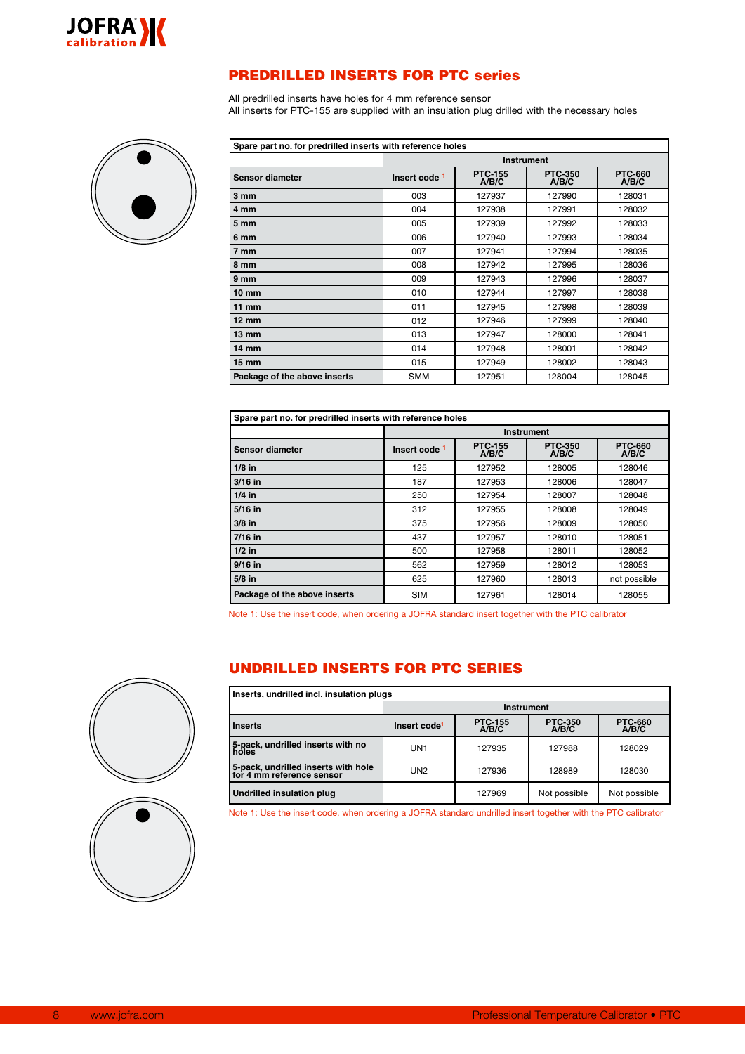

# PREDRILLED INSERTS FOR PTC series

All predrilled inserts have holes for 4 mm reference sensor All inserts for PTC-155 are supplied with an insulation plug drilled with the necessary holes



| Spare part no. for predrilled inserts with reference holes |               |                         |                         |                         |  |  |  |  |
|------------------------------------------------------------|---------------|-------------------------|-------------------------|-------------------------|--|--|--|--|
|                                                            |               | <b>Instrument</b>       |                         |                         |  |  |  |  |
| <b>Sensor diameter</b>                                     | Insert code 1 | <b>PTC-155</b><br>A/B/C | <b>PTC-350</b><br>A/B/C | <b>PTC-660</b><br>A/B/C |  |  |  |  |
| $3 \, \text{mm}$                                           | 003           | 127937                  | 127990                  | 128031                  |  |  |  |  |
| 4 mm                                                       | 004           | 127938                  | 127991                  | 128032                  |  |  |  |  |
| 5 mm                                                       | 005           | 127939                  | 127992                  | 128033                  |  |  |  |  |
| 6 mm                                                       | 006           | 127940                  | 127993                  | 128034                  |  |  |  |  |
| 7 mm                                                       | 007           | 127941                  | 127994                  | 128035                  |  |  |  |  |
| 8 mm                                                       | 008           | 127942                  | 127995                  | 128036                  |  |  |  |  |
| 9 mm                                                       | 009           | 127943                  | 127996                  | 128037                  |  |  |  |  |
| 10 mm                                                      | 010           | 127944                  | 127997                  | 128038                  |  |  |  |  |
| 11 mm                                                      | 011           | 127945                  | 127998                  | 128039                  |  |  |  |  |
| $12 \text{ mm}$                                            | 012           | 127946                  | 127999                  | 128040                  |  |  |  |  |
| $13 \text{ mm}$                                            | 013           | 127947                  | 128000                  | 128041                  |  |  |  |  |
| 14 mm                                                      | 014           | 127948                  | 128001                  | 128042                  |  |  |  |  |
| 15 mm                                                      | 015           | 127949                  | 128002                  | 128043                  |  |  |  |  |
| Package of the above inserts                               | <b>SMM</b>    | 127951                  | 128004                  | 128045                  |  |  |  |  |

| Spare part no. for predrilled inserts with reference holes |               |                         |                         |                         |  |  |  |  |
|------------------------------------------------------------|---------------|-------------------------|-------------------------|-------------------------|--|--|--|--|
|                                                            |               | <b>Instrument</b>       |                         |                         |  |  |  |  |
| Sensor diameter                                            | Insert code 1 | <b>PTC-155</b><br>A/B/C | <b>PTC-350</b><br>A/B/C | <b>PTC-660</b><br>A/B/C |  |  |  |  |
| $1/8$ in                                                   | 125           | 127952                  | 128005                  | 128046                  |  |  |  |  |
| $3/16$ in                                                  | 187           | 127953                  | 128006                  | 128047                  |  |  |  |  |
| $1/4$ in                                                   | 250           | 127954                  | 128007                  | 128048                  |  |  |  |  |
| 5/16 in                                                    | 312           | 127955                  | 128008                  | 128049                  |  |  |  |  |
| $3/8$ in                                                   | 375           | 127956                  | 128009                  | 128050                  |  |  |  |  |
| $7/16$ in                                                  | 437           | 127957                  | 128010                  | 128051                  |  |  |  |  |
| $1/2$ in                                                   | 500           | 127958                  | 128011                  | 128052                  |  |  |  |  |
| $9/16$ in                                                  | 562           | 127959                  | 128012                  | 128053                  |  |  |  |  |
| $5/8$ in                                                   | 625           | 127960                  | 128013                  | not possible            |  |  |  |  |
| Package of the above inserts                               | <b>SIM</b>    | 127961                  | 128014                  | 128055                  |  |  |  |  |

Note 1: Use the insert code, when ordering a JOFRA standard insert together with the PTC calibrator

# UNDRILLED INSERTS FOR PTC SERIES

| Inserts, undrilled incl. insulation plugs                        |                          |                         |                         |                          |  |  |  |  |  |
|------------------------------------------------------------------|--------------------------|-------------------------|-------------------------|--------------------------|--|--|--|--|--|
|                                                                  |                          | <b>Instrument</b>       |                         |                          |  |  |  |  |  |
| <b>Inserts</b>                                                   | Insert code <sup>1</sup> | <b>PTC-155</b><br>A/B/C | <b>PTC-350</b><br>A/B/C | <b>PTC-660<br/>A/B/C</b> |  |  |  |  |  |
| 5-pack, undrilled inserts with no<br>holes                       | UN1                      | 127935                  | 127988                  | 128029                   |  |  |  |  |  |
| 5-pack, undrilled inserts with hole<br>for 4 mm reference sensor | UN <sub>2</sub>          | 127936                  | 128989                  | 128030                   |  |  |  |  |  |
| <b>Undrilled insulation plug</b>                                 |                          | 127969                  | Not possible            | Not possible             |  |  |  |  |  |

Note 1: Use the insert code, when ordering a JOFRA standard undrilled insert together with the PTC calibrator

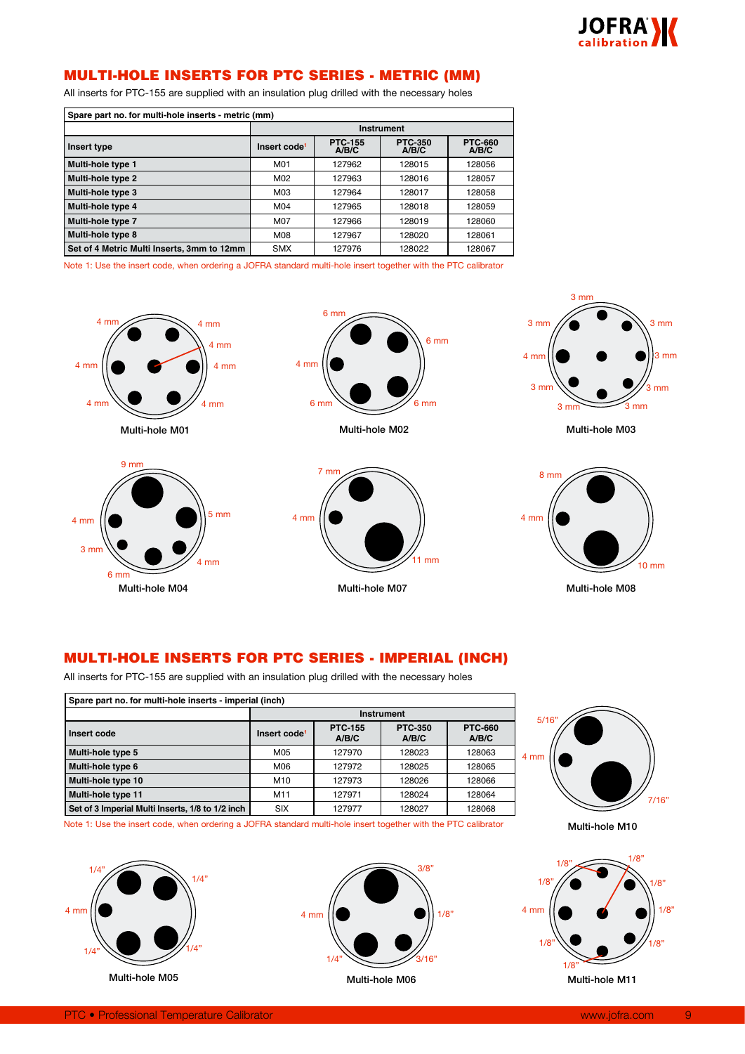

# MULTI-HOLE INSERTS FOR PTC SERIES - METRIC (MM)

All inserts for PTC-155 are supplied with an insulation plug drilled with the necessary holes

| Spare part no. for multi-hole inserts - metric (mm) |                          |                         |                         |                         |  |  |  |  |
|-----------------------------------------------------|--------------------------|-------------------------|-------------------------|-------------------------|--|--|--|--|
|                                                     |                          | Instrument              |                         |                         |  |  |  |  |
| Insert type                                         | Insert code <sup>1</sup> | <b>PTC-155</b><br>A/B/C | <b>PTC-350</b><br>A/B/C | <b>PTC-660</b><br>A/B/C |  |  |  |  |
| Multi-hole type 1                                   | M01                      | 127962                  | 128015                  | 128056                  |  |  |  |  |
| Multi-hole type 2                                   | M02                      | 127963                  | 128016                  | 128057                  |  |  |  |  |
| Multi-hole type 3                                   | M03                      | 127964                  | 128017                  | 128058                  |  |  |  |  |
| Multi-hole type 4                                   | M04                      | 127965                  | 128018                  | 128059                  |  |  |  |  |
| Multi-hole type 7                                   | M07                      | 127966                  | 128019                  | 128060                  |  |  |  |  |
| Multi-hole type 8                                   | M08                      | 127967                  | 128020                  | 128061                  |  |  |  |  |
| Set of 4 Metric Multi Inserts, 3mm to 12mm          | <b>SMX</b>               | 127976                  | 128022                  | 128067                  |  |  |  |  |

Note 1: Use the insert code, when ordering a JOFRA standard multi-hole insert together with the PTC calibrator



Multi-hole M04

4 mm

6 mm

3 mm

 $4 \text{ mm}$   $\left| \bigcirc \right|$   $\left| \bigcirc \right|$   $\left| \bigcirc \right|$   $\left| \bigcirc \right|$   $\left| \bigcirc \right|$   $\left| \bigcirc \right|$ 



Multi-hole M02



Multi-hole M07



Multi-hole M03



# MULTI-HOLE INSERTS FOR PTC SERIES - IMPERIAL (INCH)

 $\overline{4}$  mm

All inserts for PTC-155 are supplied with an insulation plug drilled with the necessary holes

| Spare part no. for multi-hole inserts - imperial (inch) |                          |                         |                         |                         |  |  |  |  |
|---------------------------------------------------------|--------------------------|-------------------------|-------------------------|-------------------------|--|--|--|--|
|                                                         | <b>Instrument</b>        |                         |                         |                         |  |  |  |  |
| Insert code                                             | Insert code <sup>1</sup> | <b>PTC-155</b><br>A/B/C | <b>PTC-350</b><br>A/B/C | <b>PTC-660</b><br>A/B/C |  |  |  |  |
| Multi-hole type 5                                       | M05                      | 127970                  | 128023                  | 128063                  |  |  |  |  |
| Multi-hole type 6                                       | M06                      | 127972                  | 128025                  | 128065                  |  |  |  |  |
| Multi-hole type 10                                      | M10                      | 127973                  | 128026                  | 128066                  |  |  |  |  |
| Multi-hole type 11                                      | M11                      | 127971                  | 128024                  | 128064                  |  |  |  |  |
| Set of 3 Imperial Multi Inserts, 1/8 to 1/2 inch        | <b>SIX</b>               | 127977                  | 128027                  | 128068                  |  |  |  |  |



Note 1: Use the insert code, when ordering a JOFRA standard multi-hole insert together with the PTC calibrator





Multi-hole M06

Multi-hole M10

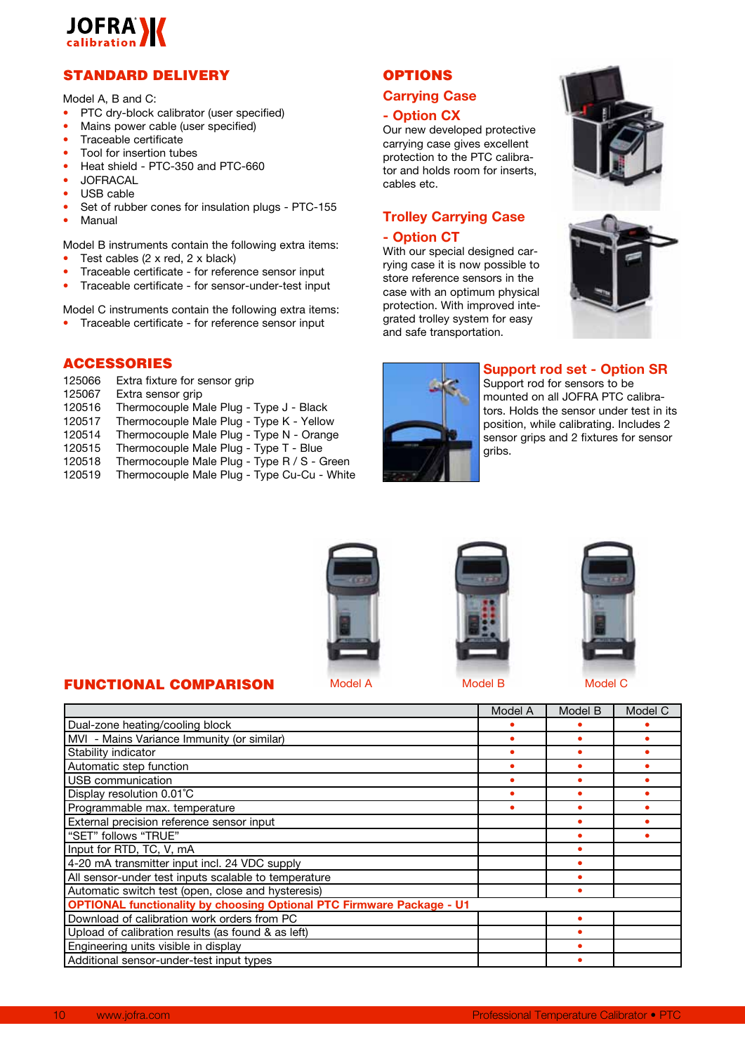

# STANDARD DELIVERY

Model A, B and C:

- PTC drv-block calibrator (user specified)
- Mains power cable (user specified)
- Traceable certificate
- Tool for insertion tubes
- Heat shield PTC-350 and PTC-660
- **JOFRACAL**
- USB cable
- Set of rubber cones for insulation plugs PTC-155
- **Manual**

Model B instruments contain the following extra items:

- Test cables  $(2 \times \text{red}, 2 \times \text{black})$
- Traceable certificate for reference sensor input
- Traceable certificate for sensor-under-test input

Model C instruments contain the following extra items:

• Traceable certificate - for reference sensor input

# ACCESSORIES

125066 Extra fixture for sensor grip<br>125067 Extra sensor grip

FUNCTIONAL COMPARISON

- Extra sensor grip
- 120516 Thermocouple Male Plug Type J Black
- 120517 Thermocouple Male Plug Type K Yellow
- 120514 Thermocouple Male Plug Type N Orange
- 120515 Thermocouple Male Plug Type T Blue<br>120518 Thermocouple Male Plug Type R / S G
- Thermocouple Male Plug Type R / S Green
- 120519 Thermocouple Male Plug Type Cu-Cu White

# **OPTIONS**

# **Carrying Case**

# **- Option CX**

Our new developed protective carrying case gives excellent protection to the PTC calibrator and holds room for inserts, cables etc.

# **Trolley Carrying Case - Option CT**

With our special designed carrying case it is now possible to store reference sensors in the case with an optimum physical protection. With improved integrated trolley system for easy and safe transportation.







# **Support rod set - Option SR**

Support rod for sensors to be mounted on all JOFRA PTC calibrators. Holds the sensor under test in its position, while calibrating. Includes 2 sensor grips and 2 fixtures for sensor gribs.







|                                                                              | Model A | Model B | Model C |
|------------------------------------------------------------------------------|---------|---------|---------|
| Dual-zone heating/cooling block                                              |         |         |         |
| MVI - Mains Variance Immunity (or similar)                                   |         |         |         |
| Stability indicator                                                          |         |         |         |
| Automatic step function                                                      |         |         |         |
| USB communication                                                            |         |         |         |
| Display resolution 0.01°C                                                    | ٠       |         |         |
| Programmable max. temperature                                                | ٠       |         |         |
| External precision reference sensor input                                    |         |         |         |
| "SET" follows "TRUE"                                                         |         |         |         |
| Input for RTD, TC, V, mA                                                     |         |         |         |
| 4-20 mA transmitter input incl. 24 VDC supply                                |         |         |         |
| All sensor-under test inputs scalable to temperature                         |         |         |         |
| Automatic switch test (open, close and hysteresis)                           |         |         |         |
| <b>OPTIONAL functionality by choosing Optional PTC Firmware Package - U1</b> |         |         |         |
| Download of calibration work orders from PC                                  |         |         |         |
| Upload of calibration results (as found & as left)                           |         |         |         |
| Engineering units visible in display                                         |         |         |         |
| Additional sensor-under-test input types                                     |         |         |         |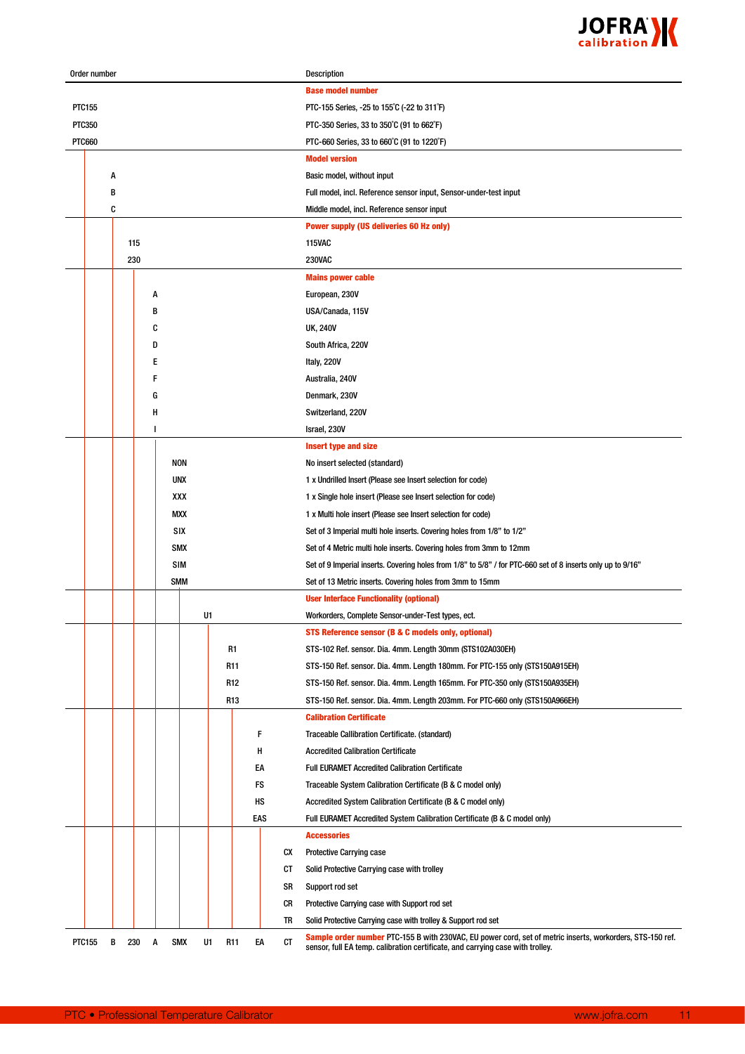

| Order number  |   |     |   |            |    |                 |     |    | Description                                                                                                                                                                                 |
|---------------|---|-----|---|------------|----|-----------------|-----|----|---------------------------------------------------------------------------------------------------------------------------------------------------------------------------------------------|
|               |   |     |   |            |    |                 |     |    | <b>Base model number</b>                                                                                                                                                                    |
| PTC155        |   |     |   |            |    |                 |     |    | PTC-155 Series, -25 to 155°C (-22 to 311°F)                                                                                                                                                 |
| <b>PTC350</b> |   |     |   |            |    |                 |     |    | PTC-350 Series, 33 to 350°C (91 to 662°F)                                                                                                                                                   |
| <b>PTC660</b> |   |     |   |            |    |                 |     |    | PTC-660 Series, 33 to 660°C (91 to 1220°F)                                                                                                                                                  |
|               |   |     |   |            |    |                 |     |    | <b>Model version</b>                                                                                                                                                                        |
|               | A |     |   |            |    |                 |     |    | Basic model, without input                                                                                                                                                                  |
|               | В |     |   |            |    |                 |     |    | Full model, incl. Reference sensor input, Sensor-under-test input                                                                                                                           |
|               | C |     |   |            |    |                 |     |    | Middle model, incl. Reference sensor input                                                                                                                                                  |
|               |   |     |   |            |    |                 |     |    | <b>Power supply (US deliveries 60 Hz only)</b>                                                                                                                                              |
|               |   | 115 |   |            |    |                 |     |    | <b>115VAC</b>                                                                                                                                                                               |
|               |   | 230 |   |            |    |                 |     |    | <b>230VAC</b>                                                                                                                                                                               |
|               |   |     |   |            |    |                 |     |    | <b>Mains power cable</b>                                                                                                                                                                    |
|               |   |     | Α |            |    |                 |     |    | European, 230V                                                                                                                                                                              |
|               |   |     | B |            |    |                 |     |    | USA/Canada, 115V                                                                                                                                                                            |
|               |   |     | C |            |    |                 |     |    | <b>UK, 240V</b>                                                                                                                                                                             |
|               |   |     | D |            |    |                 |     |    | South Africa, 220V                                                                                                                                                                          |
|               |   |     | Ε |            |    |                 |     |    | Italy, 220V                                                                                                                                                                                 |
|               |   |     | F |            |    |                 |     |    | Australia, 240V                                                                                                                                                                             |
|               |   |     | G |            |    |                 |     |    | Denmark, 230V                                                                                                                                                                               |
|               |   |     | Н |            |    |                 |     |    | Switzerland, 220V                                                                                                                                                                           |
|               |   |     | ı |            |    |                 |     |    | Israel, 230V                                                                                                                                                                                |
|               |   |     |   |            |    |                 |     |    | <b>Insert type and size</b>                                                                                                                                                                 |
|               |   |     |   | NON        |    |                 |     |    | No insert selected (standard)                                                                                                                                                               |
|               |   |     |   | UNX        |    |                 |     |    | 1 x Undrilled Insert (Please see Insert selection for code)                                                                                                                                 |
|               |   |     |   | XXX        |    |                 |     |    | 1 x Single hole insert (Please see Insert selection for code)                                                                                                                               |
|               |   |     |   | MXX        |    |                 |     |    | 1 x Multi hole insert (Please see Insert selection for code)                                                                                                                                |
|               |   |     |   | SIX        |    |                 |     |    | Set of 3 Imperial multi hole inserts. Covering holes from 1/8" to 1/2"                                                                                                                      |
|               |   |     |   | SMX        |    |                 |     |    | Set of 4 Metric multi hole inserts. Covering holes from 3mm to 12mm                                                                                                                         |
|               |   |     |   | <b>SIM</b> |    |                 |     |    | Set of 9 Imperial inserts. Covering holes from 1/8" to 5/8" / for PTC-660 set of 8 inserts only up to 9/16"                                                                                 |
|               |   |     |   | <b>SMM</b> |    |                 |     |    | Set of 13 Metric inserts. Covering holes from 3mm to 15mm                                                                                                                                   |
|               |   |     |   |            |    |                 |     |    | <b>User Interface Functionality (optional)</b>                                                                                                                                              |
|               |   |     |   |            | U1 |                 |     |    | Workorders, Complete Sensor-under-Test types, ect.                                                                                                                                          |
|               |   |     |   |            |    |                 |     |    | STS Reference sensor (B & C models only, optional)                                                                                                                                          |
|               |   |     |   |            |    | R1              |     |    | STS-102 Ref. sensor. Dia. 4mm. Length 30mm (STS102A030EH)                                                                                                                                   |
|               |   |     |   |            |    | R11             |     |    | STS-150 Ref. sensor. Dia. 4mm. Length 180mm. For PTC-155 only (STS150A915EH)                                                                                                                |
|               |   |     |   |            |    | R <sub>12</sub> |     |    | STS-150 Ref. sensor. Dia. 4mm. Length 165mm. For PTC-350 only (STS150A935EH)                                                                                                                |
|               |   |     |   |            |    | R <sub>13</sub> |     |    | STS-150 Ref. sensor. Dia. 4mm. Length 203mm. For PTC-660 only (STS150A966EH)                                                                                                                |
|               |   |     |   |            |    |                 |     |    | <b>Calibration Certificate</b>                                                                                                                                                              |
|               |   |     |   |            |    |                 | F   |    | Traceable Callibration Certificate. (standard)                                                                                                                                              |
|               |   |     |   |            |    |                 | н   |    | <b>Accredited Calibration Certificate</b>                                                                                                                                                   |
|               |   |     |   |            |    |                 | EA  |    | <b>Full EURAMET Accredited Calibration Certificate</b>                                                                                                                                      |
|               |   |     |   |            |    |                 | FS  |    | Traceable System Calibration Certificate (B & C model only)                                                                                                                                 |
|               |   |     |   |            |    |                 | нs  |    |                                                                                                                                                                                             |
|               |   |     |   |            |    |                 |     |    | Accredited System Calibration Certificate (B & C model only)                                                                                                                                |
|               |   |     |   |            |    |                 | EAS |    | Full EURAMET Accredited System Calibration Certificate (B & C model only)                                                                                                                   |
|               |   |     |   |            |    |                 |     |    | <b>Accessories</b>                                                                                                                                                                          |
|               |   |     |   |            |    |                 |     | CX | <b>Protective Carrying case</b>                                                                                                                                                             |
|               |   |     |   |            |    |                 |     | CT | Solid Protective Carrying case with trolley                                                                                                                                                 |
|               |   |     |   |            |    |                 |     | SR | Support rod set                                                                                                                                                                             |
|               |   |     |   |            |    |                 |     | CR | Protective Carrying case with Support rod set                                                                                                                                               |
|               |   |     |   |            |    |                 |     | TR | Solid Protective Carrying case with trolley & Support rod set                                                                                                                               |
| <b>PTC155</b> | В | 230 | Α | <b>SMX</b> | U1 | R <sub>11</sub> | EA  | CT | Sample order number PTC-155 B with 230VAC, EU power cord, set of metric inserts, workorders, STS-150 ref.<br>sensor, full EA temp. calibration certificate, and carrying case with trolley. |